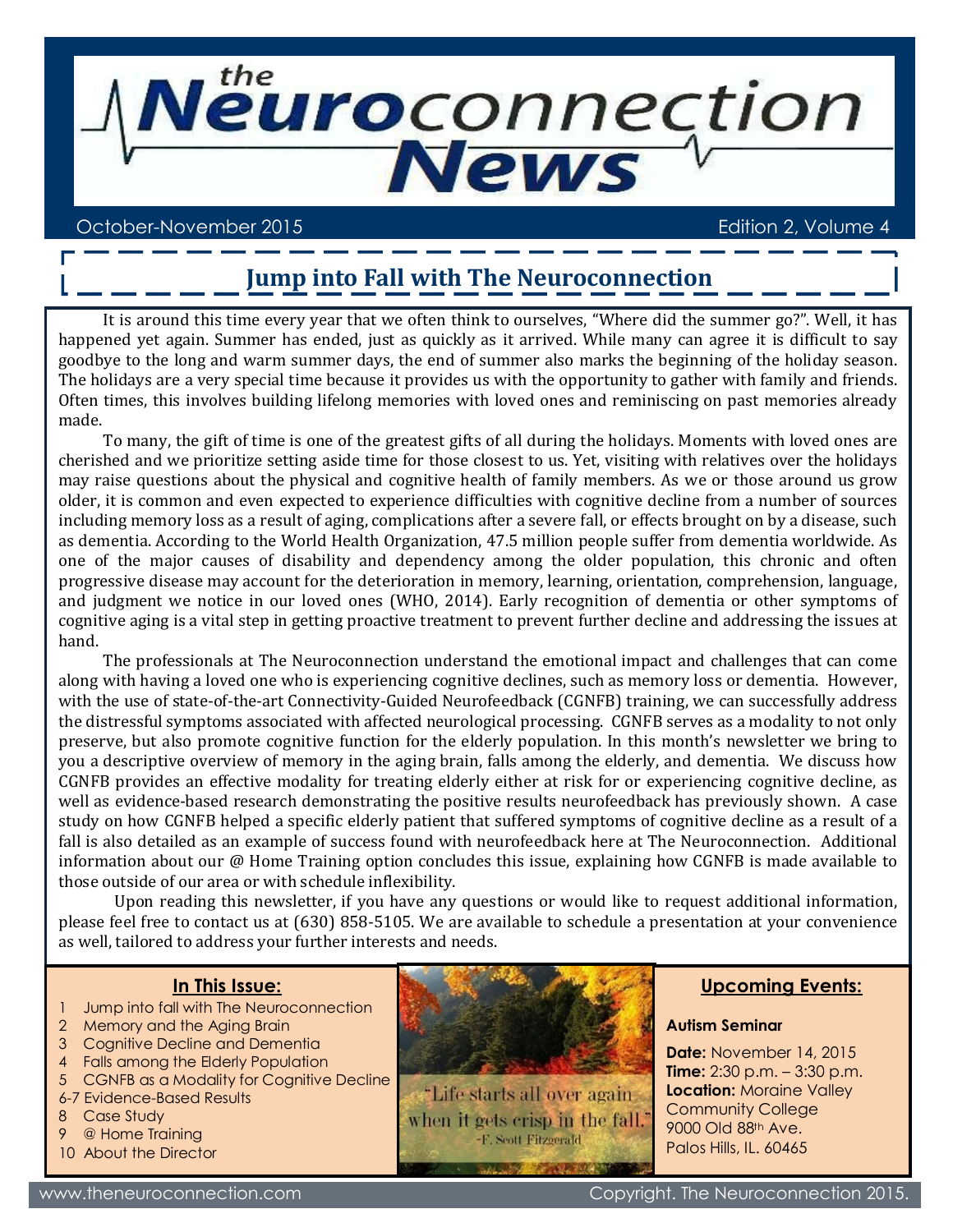

#### October-November 2015 Edition 2, Volume 4

### **Jump into Fall with The Neuroconnection**

It is around this time every year that we often think to ourselves, "Where did the summer go?". Well, it has happened yet again. Summer has ended, just as quickly as it arrived. While many can agree it is difficult to say goodbye to the long and warm summer days, the end of summer also marks the beginning of the holiday season. The holidays are a very special time because it provides us with the opportunity to gather with family and friends. Often times, this involves building lifelong memories with loved ones and reminiscing on past memories already made.

To many, the gift of time is one of the greatest gifts of all during the holidays. Moments with loved ones are cherished and we prioritize setting aside time for those closest to us. Yet, visiting with relatives over the holidays may raise questions about the physical and cognitive health of family members. As we or those around us grow older, it is common and even expected to experience difficulties with cognitive decline from a number of sources including memory loss as a result of aging, complications after a severe fall, or effects brought on by a disease, such as dementia. According to the World Health Organization, 47.5 million people suffer from dementia worldwide. As one of the major causes of disability and dependency among the older population, this chronic and often progressive disease may account for the deterioration in memory, learning, orientation, comprehension, language, and judgment we notice in our loved ones (WHO, 2014). Early recognition of dementia or other symptoms of cognitive aging is a vital step in getting proactive treatment to prevent further decline and addressing the issues at hand.

The professionals at The Neuroconnection understand the emotional impact and challenges that can come along with having a loved one who is experiencing cognitive declines, such as memory loss or dementia. However, with the use of state-of-the-art Connectivity-Guided Neurofeedback (CGNFB) training, we can successfully address the distressful symptoms associated with affected neurological processing. CGNFB serves as a modality to not only preserve, but also promote cognitive function for the elderly population. In this month's newsletter we bring to you a descriptive overview of memory in the aging brain, falls among the elderly, and dementia. We discuss how CGNFB provides an effective modality for treating elderly either at risk for or experiencing cognitive decline, as well as evidence-based research demonstrating the positive results neurofeedback has previously shown. A case study on how CGNFB helped a specific elderly patient that suffered symptoms of cognitive decline as a result of a fall is also detailed as an example of success found with neurofeedback here at The Neuroconnection. Additional information about our @ Home Training option concludes this issue, explaining how CGNFB is made available to those outside of our area or with schedule inflexibility.

Upon reading this newsletter, if you have any questions or would like to request additional information, please feel free to contact us at (630) 858-5105. We are available to schedule a presentation at your convenience as well, tailored to address your further interests and needs.

#### **In This Issue:**

- Jump into fall with The Neuroconnection
- 2 Memory and the Aging Brain
- 3 Cognitive Decline and Dementia
- 4 Falls among the Elderly Population
- 5 CGNFB as a Modality for Cognitive Decline
- 6-7 Evidence-Based Results
- 8 Case Study
- 9 @ Home Training
- 10 About the Director



"Life starts all over again when it gets crisp in the fall. -F. Scott Fitzgerald

#### **Upcoming Events:**

#### **Autism Seminar**

**Date:** November 14, 2015 **Time:** 2:30 p.m. – 3:30 p.m. **Location: Moraine Valley** Community College 9000 Old 88th Ave. Palos Hills, IL. 60465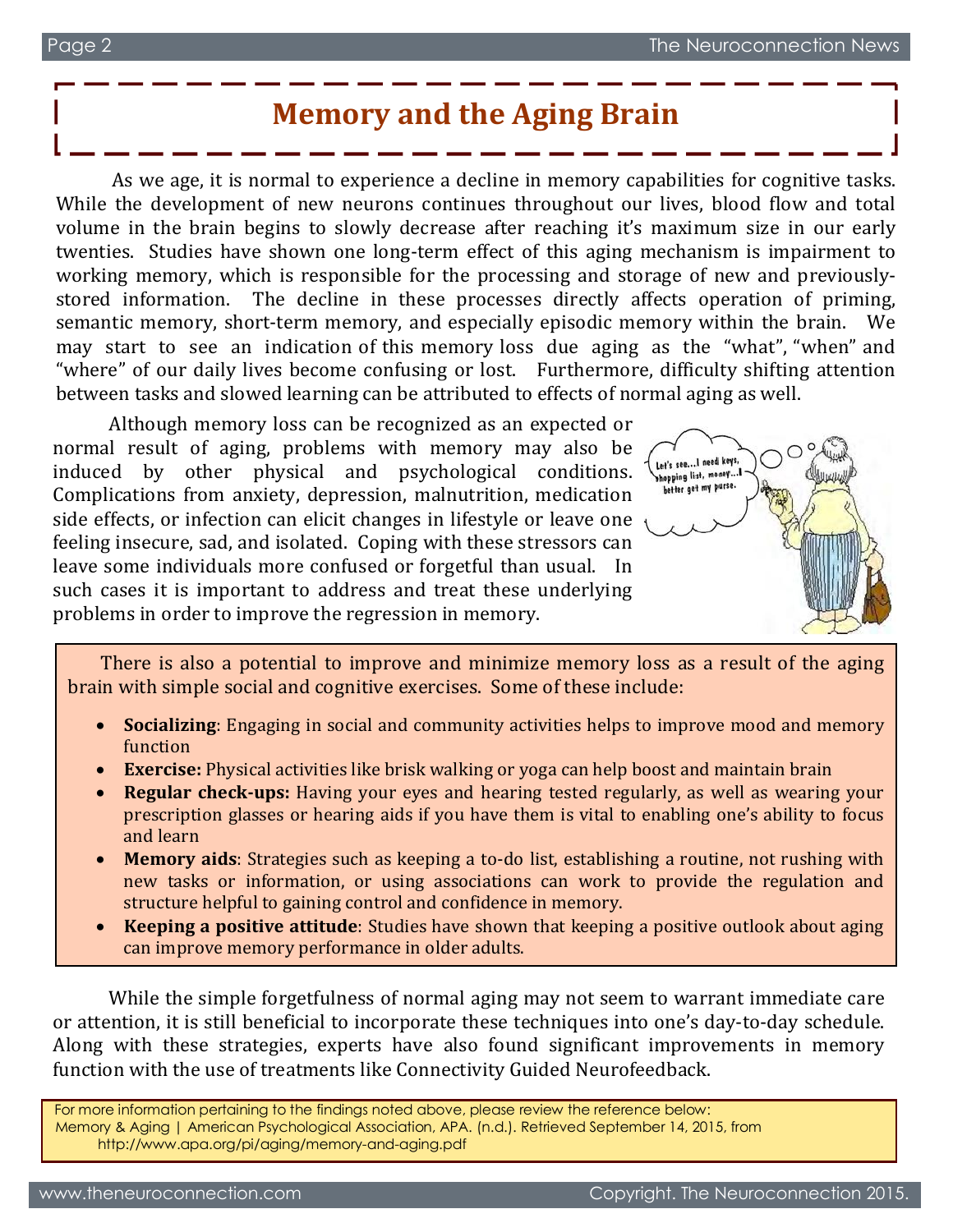### **Memory and the Aging Brain**

As we age, it is normal to experience a decline in memory capabilities for cognitive tasks. While the development of new neurons continues throughout our lives, blood flow and total volume in the brain begins to slowly decrease after reaching it's maximum size in our early twenties. Studies have shown one long-term effect of this aging mechanism is impairment to working memory, which is responsible for the processing and storage of new and previouslystored information. The decline in these processes directly affects operation of priming, semantic memory, short-term memory, and especially episodic memory within the brain. We may start to see an indication of this memory loss due aging as the "what", "when" and "where" of our daily lives become confusing or lost. Furthermore, difficulty shifting attention between tasks and slowed learning can be attributed to effects of normal aging as well.

Although memory loss can be recognized as an expected or normal result of aging, problems with memory may also be induced by other physical and psychological conditions. Complications from anxiety, depression, malnutrition, medication side effects, or infection can elicit changes in lifestyle or leave one feeling insecure, sad, and isolated. Coping with these stressors can leave some individuals more confused or forgetful than usual. In such cases it is important to address and treat these underlying problems in order to improve the regression in memory.



There is also a potential to improve and minimize memory loss as a result of the aging brain with simple social and cognitive exercises. Some of these include:

- · **Socializing**: Engaging in social and community activities helps to improve mood and memory function
- · **Exercise:** Physical activities like brisk walking or yoga can help boost and maintain brain
- **Regular check-ups:** Having your eyes and hearing tested regularly, as well as wearing your prescription glasses or hearing aids if you have them is vital to enabling one's ability to focus and learn
- · **Memory aids**: Strategies such as keeping a to-do list, establishing a routine, not rushing with new tasks or information, or using associations can work to provide the regulation and structure helpful to gaining control and confidence in memory.
- **Keeping a positive attitude**: Studies have shown that keeping a positive outlook about aging can improve memory performance in older adults.

While the simple forgetfulness of normal aging may not seem to warrant immediate care or attention, it is still beneficial to incorporate these techniques into one's day-to-day schedule. Along with these strategies, experts have also found significant improvements in memory function with the use of treatments like Connectivity Guided Neurofeedback.

For more information pertaining to the findings noted above, please review the reference below: Memory & Aging | American Psychological Association, APA. (n.d.). Retrieved September 14, 2015, from http://www.apa.org/pi/aging/memory-and-aging.pdf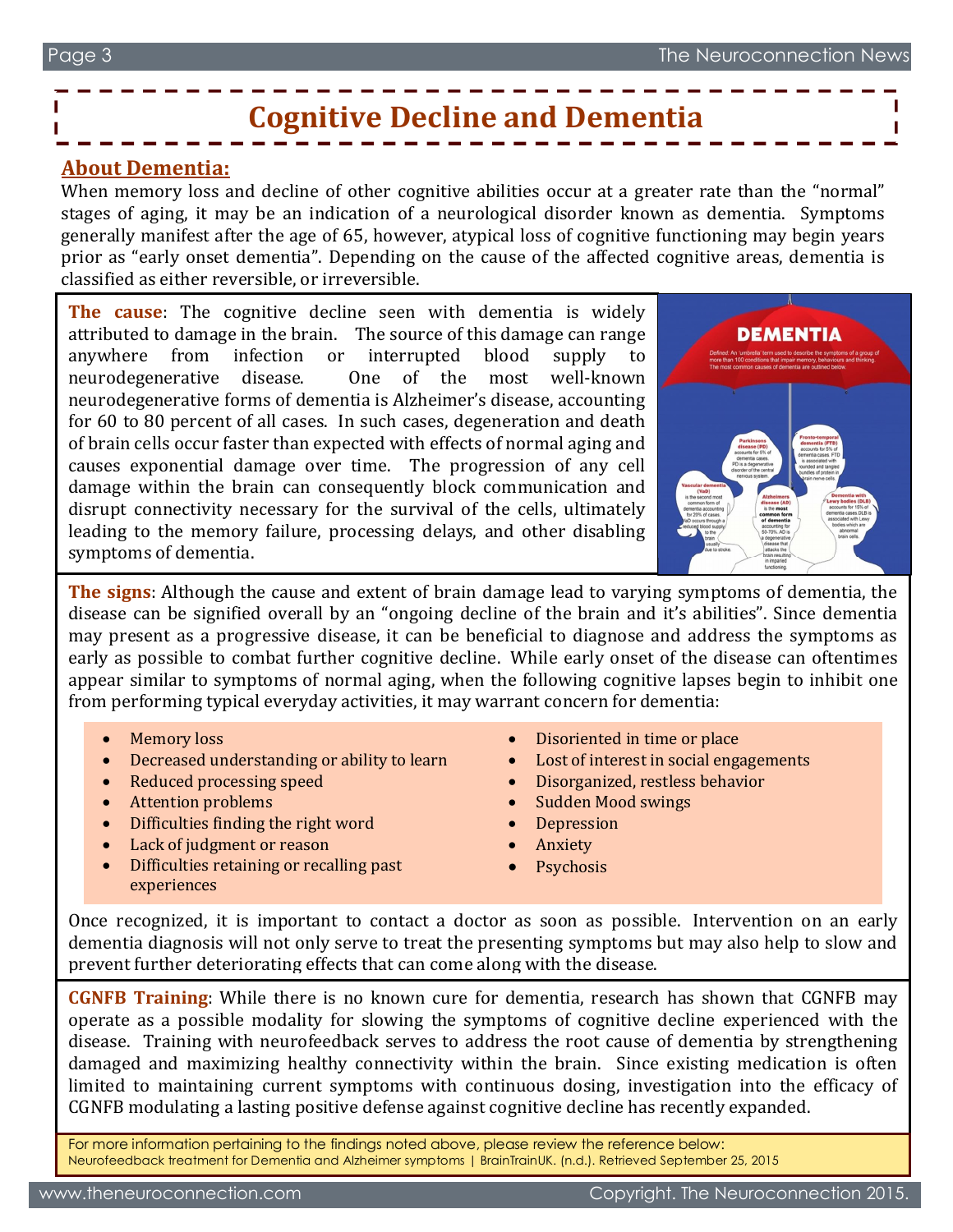# **Cognitive Decline and Dementia**

#### **About Dementia:**

When memory loss and decline of other cognitive abilities occur at a greater rate than the "normal" stages of aging, it may be an indication of a neurological disorder known as dementia. Symptoms generally manifest after the age of 65, however, atypical loss of cognitive functioning may begin years prior as "early onset dementia". Depending on the cause of the affected cognitive areas, dementia is classified as either reversible, or irreversible.

**The cause**: The cognitive decline seen with dementia is widely attributed to damage in the brain. The source of this damage can range anywhere from infection or interrupted blood supply to neurodegenerative disease. One of the most well-known neurodegenerative forms of dementia is Alzheimer's disease, accounting for 60 to 80 percent of all cases. In such cases, degeneration and death of brain cells occur faster than expected with effects of normal aging and causes exponential damage over time. The progression of any cell damage within the brain can consequently block communication and disrupt connectivity necessary for the survival of the cells, ultimately leading to the memory failure, processing delays, and other disabling symptoms of dementia.



**The signs**: Although the cause and extent of brain damage lead to varying symptoms of dementia, the disease can be signified overall by an "ongoing decline of the brain and it's abilities". Since dementia may present as a progressive disease, it can be beneficial to diagnose and address the symptoms as early as possible to combat further cognitive decline. While early onset of the disease can oftentimes appear similar to symptoms of normal aging, when the following cognitive lapses begin to inhibit one from performing typical everyday activities, it may warrant concern for dementia:

- **Memory loss**
- · Decreased understanding or ability to learn
- Reduced processing speed
- · Attention problems
- Difficulties finding the right word
- Lack of judgment or reason
- Difficulties retaining or recalling past experiences
- Disoriented in time or place
- Lost of interest in social engagements
- · Disorganized, restless behavior
- Sudden Mood swings
- **Depression**
- · Anxiety
- **Psychosis**

Once recognized, it is important to contact a doctor as soon as possible. Intervention on an early dementia diagnosis will not only serve to treat the presenting symptoms but may also help to slow and prevent further deteriorating effects that can come along with the disease.

**CGNFB Training**: While there is no known cure for dementia, research has shown that CGNFB may operate as a possible modality for slowing the symptoms of cognitive decline experienced with the disease. Training with neurofeedback serves to address the root cause of dementia by strengthening damaged and maximizing healthy connectivity within the brain. Since existing medication is often limited to maintaining current symptoms with continuous dosing, investigation into the efficacy of CGNFB modulating a lasting positive defense against cognitive decline has recently expanded.

For more information pertaining to the findings noted above, please review the reference below: Neurofeedback treatment for Dementia and Alzheimer symptoms | BrainTrainUK. (n.d.). Retrieved September 25, 2015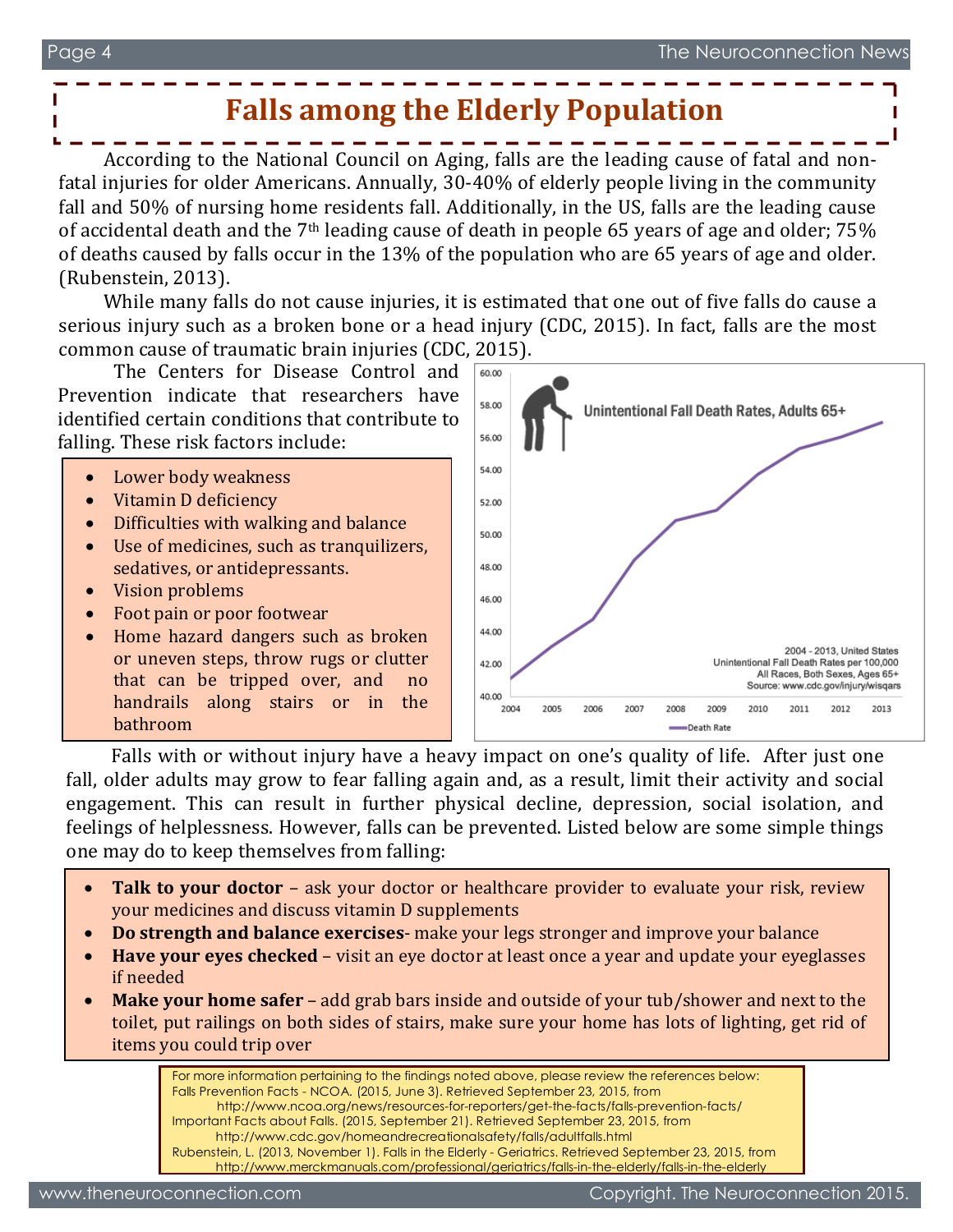### **Falls among the Elderly Population**

According to the National Council on Aging, falls are the leading cause of fatal and nonfatal injuries for older Americans. Annually, 30-40% of elderly people living in the community fall and 50% of nursing home residents fall. Additionally, in the US, falls are the leading cause of accidental death and the 7th leading cause of death in people 65 years of age and older; 75% of deaths caused by falls occur in the 13% of the population who are 65 years of age and older. (Rubenstein, 2013).

While many falls do not cause injuries, it is estimated that one out of five falls do cause a serious injury such as a broken bone or a head injury (CDC, 2015). In fact, falls are the most common cause of traumatic brain injuries (CDC, 2015).

The Centers for Disease Control and Prevention indicate that researchers have identified certain conditions that contribute to falling. These risk factors include:

- Lower body weakness
- Vitamin D deficiency
- · Difficulties with walking and balance
- · Use of medicines, such as tranquilizers, sedatives, or antidepressants.
- · Vision problems
- · Foot pain or poor footwear
- · Home hazard dangers such as broken or uneven steps, throw rugs or clutter that can be tripped over, and no handrails along stairs or in the bathroom



Falls with or without injury have a heavy impact on one's quality of life. After just one fall, older adults may grow to fear falling again and, as a result, limit their activity and social engagement. This can result in further physical decline, depression, social isolation, and feelings of helplessness. However, falls can be prevented. Listed below are some simple things one may do to keep themselves from falling:

- **Talk to your doctor** ask your doctor or healthcare provider to evaluate your risk, review your medicines and discuss vitamin D supplements
- · **Do strength and balance exercises** make your legs stronger and improve your balance
- **Have your eyes checked** visit an eye doctor at least once a year and update your eyeglasses if needed
- **Make your home safer** add grab bars inside and outside of your tub/shower and next to the toilet, put railings on both sides of stairs, make sure your home has lots of lighting, get rid of items you could trip over

For more information pertaining to the findings noted above, please review the references below: Falls Prevention Facts - NCOA. (2015, June 3). Retrieved September 23, 2015, from http://www.ncoa.org/news/resources-for-reporters/get-the-facts/falls-prevention-facts/ Important Facts about Falls. (2015, September 21). Retrieved September 23, 2015, from http://www.cdc.gov/homeandrecreationalsafety/falls/adultfalls.html Rubenstein, L. (2013, November 1). Falls in the Elderly - Geriatrics. Retrieved September 23, 2015, from http://www.merckmanuals.com/professional/geriatrics/falls-in-the-elderly/falls-in-the-elderly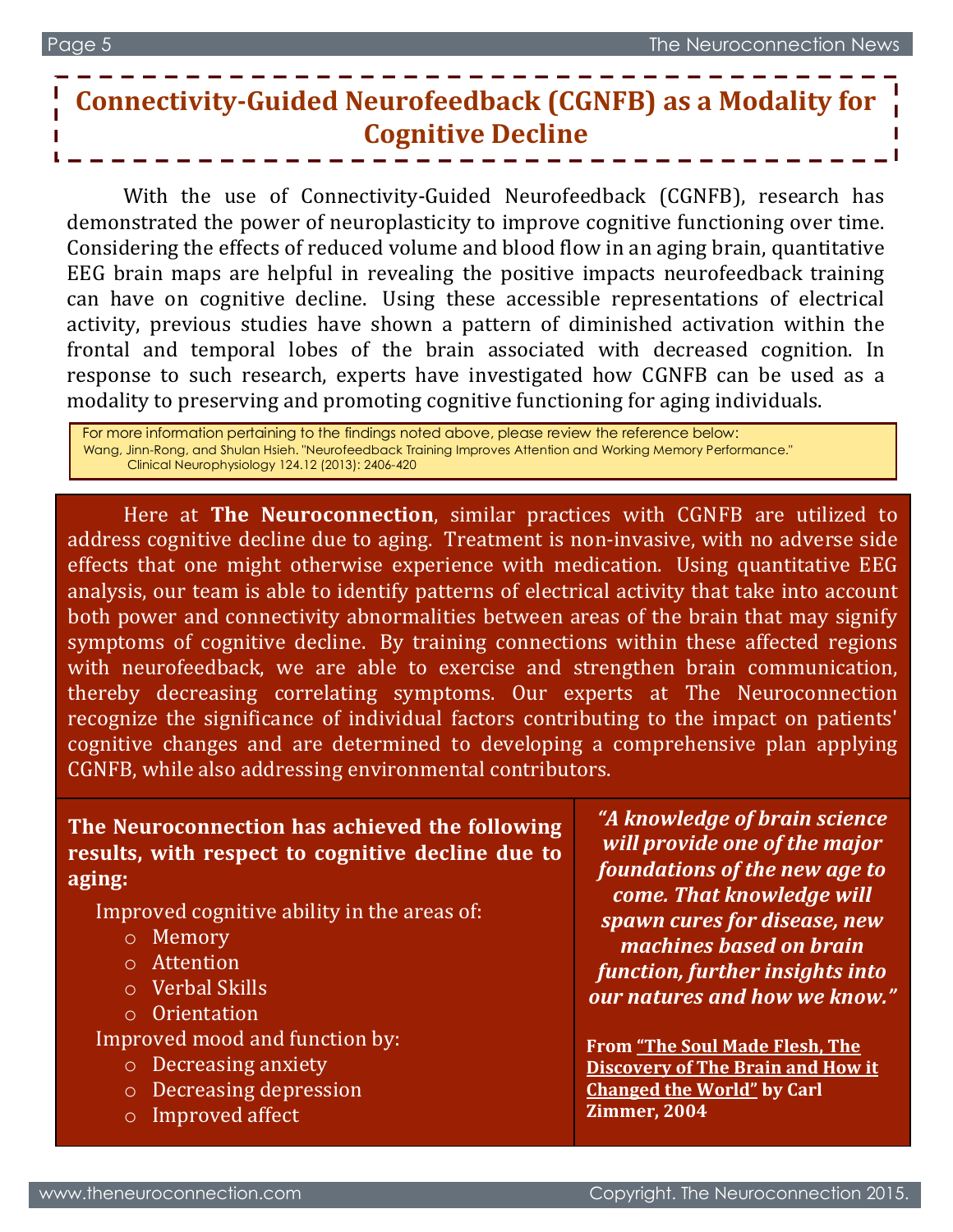# **Connectivity-Guided Neurofeedback (CGNFB) as a Modality for Cognitive Decline**

With the use of Connectivity-Guided Neurofeedback (CGNFB), research has demonstrated the power of neuroplasticity to improve cognitive functioning over time. Considering the effects of reduced volume and blood flow in an aging brain, quantitative EEG brain maps are helpful in revealing the positive impacts neurofeedback training can have on cognitive decline. Using these accessible representations of electrical activity, previous studies have shown a pattern of diminished activation within the frontal and temporal lobes of the brain associated with decreased cognition. In response to such research, experts have investigated how CGNFB can be used as a modality to preserving and promoting cognitive functioning for aging individuals.

For more information pertaining to the findings noted above, please review the reference below: Wang, Jinn-Rong, and Shulan Hsieh. "Neurofeedback Training Improves Attention and Working Memory Performance." Clinical Neurophysiology 124.12 (2013): 2406-420

Here at **The Neuroconnection**, similar practices with CGNFB are utilized to address cognitive decline due to aging. Treatment is non-invasive, with no adverse side effects that one might otherwise experience with medication. Using quantitative EEG analysis, our team is able to identify patterns of electrical activity that take into account both power and connectivity abnormalities between areas of the brain that may signify symptoms of cognitive decline. By training connections within these affected regions with neurofeedback, we are able to exercise and strengthen brain communication, thereby decreasing correlating symptoms. Our experts at The Neuroconnection recognize the significance of individual factors contributing to the impact on patients' cognitive changes and are determined to developing a comprehensive plan applying CGNFB, while also addressing environmental contributors.

### **The Neuroconnection has achieved the following results, with respect to cognitive decline due to aging:**

Improved cognitive ability in the areas of:

- o Memory
- o Attention
- o Verbal Skills
- o Orientation

Improved mood and function by:

- o Decreasing anxiety
- o Decreasing depression
- o Improved affect

*"A knowledge of brain science will provide one of the major foundations of the new age to come. That knowledge will spawn cures for disease, new machines based on brain function, further insights into our natures and how we know."*

**From "The Soul Made Flesh, The Discovery of The Brain and How it Changed the World" by Carl Zimmer, 2004**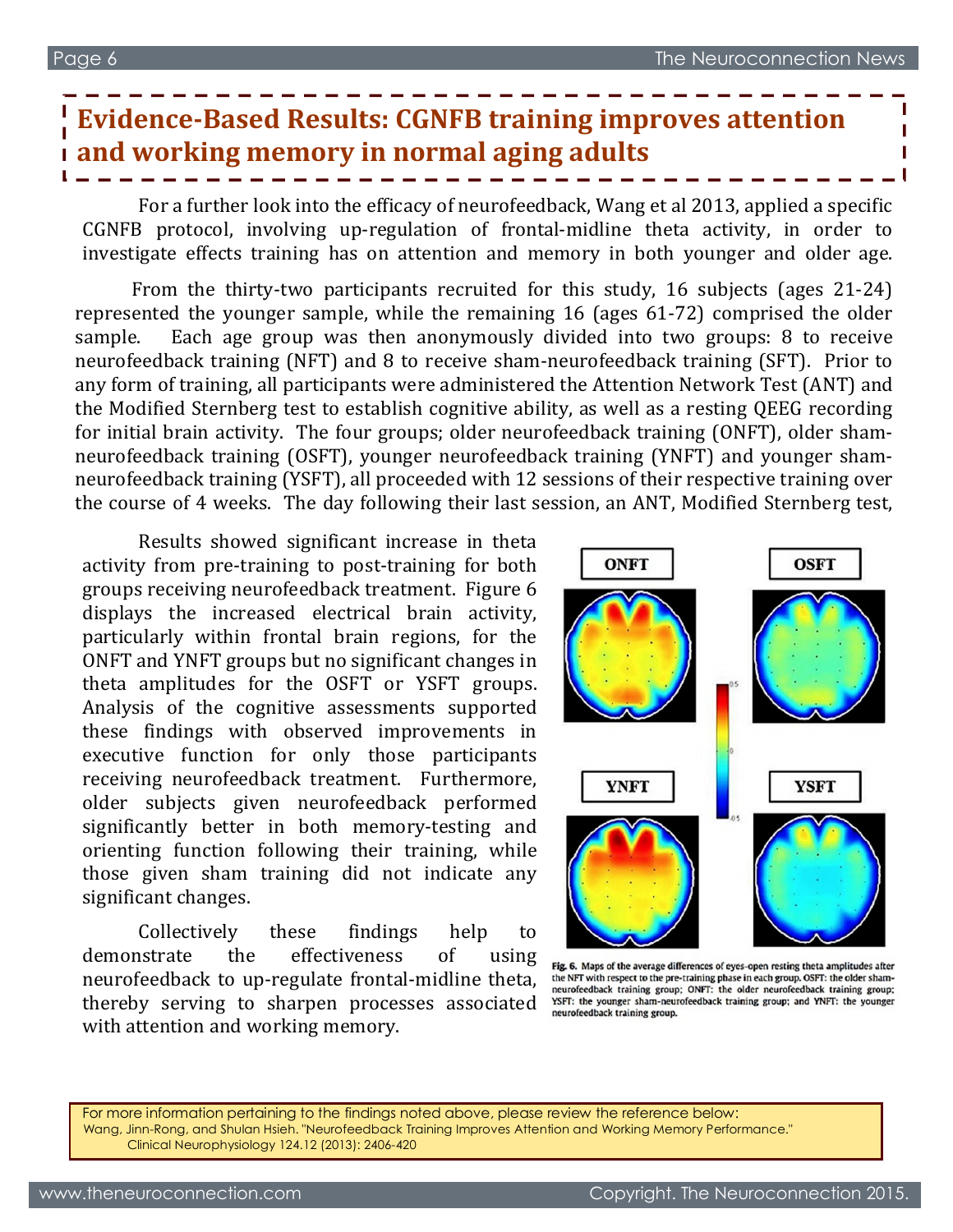## **Evidence-Based Results: CGNFB training improves attention and working memory in normal aging adults**

For a further look into the efficacy of neurofeedback, Wang et al 2013, applied a specific CGNFB protocol, involving up-regulation of frontal-midline theta activity, in order to investigate effects training has on attention and memory in both younger and older age.

From the thirty-two participants recruited for this study, 16 subjects (ages 21-24) represented the younger sample, while the remaining 16 (ages 61-72) comprised the older sample. Each age group was then anonymously divided into two groups: 8 to receive neurofeedback training (NFT) and 8 to receive sham-neurofeedback training (SFT). Prior to any form of training, all participants were administered the Attention Network Test (ANT) and the Modified Sternberg test to establish cognitive ability, as well as a resting QEEG recording for initial brain activity. The four groups; older neurofeedback training (ONFT), older shamneurofeedback training (OSFT), younger neurofeedback training (YNFT) and younger shamneurofeedback training (YSFT), all proceeded with 12 sessions of their respective training over the course of 4 weeks. The day following their last session, an ANT, Modified Sternberg test,

Results showed significant increase in theta activity from pre-training to post-training for both groups receiving neurofeedback treatment. Figure 6 displays the increased electrical brain activity, particularly within frontal brain regions, for the ONFT and YNFT groups but no significant changes in theta amplitudes for the OSFT or YSFT groups. Analysis of the cognitive assessments supported these findings with observed improvements in executive function for only those participants receiving neurofeedback treatment. Furthermore, older subjects given neurofeedback performed significantly better in both memory-testing and orienting function following their training, while those given sham training did not indicate any significant changes.

Collectively these findings help to demonstrate the effectiveness of using neurofeedback to up-regulate frontal-midline theta, thereby serving to sharpen processes associated with attention and working memory.



Fig. 6. Maps of the average differences of eyes-open resting theta amplitudes after the NFT with respect to the pre-training phase in each group. OSFT: the older shamneurofeedback training group; ONFT: the older neurofeedback training group; YSFT: the younger sham-neurofeedback training group; and YNFT: the younger neurofeedback training group.

For more information pertaining to the findings noted above, please review the reference below: Wang, Jinn-Rong, and Shulan Hsieh. "Neurofeedback Training Improves Attention and Working Memory Performance." Clinical Neurophysiology 124.12 (2013): 2406-420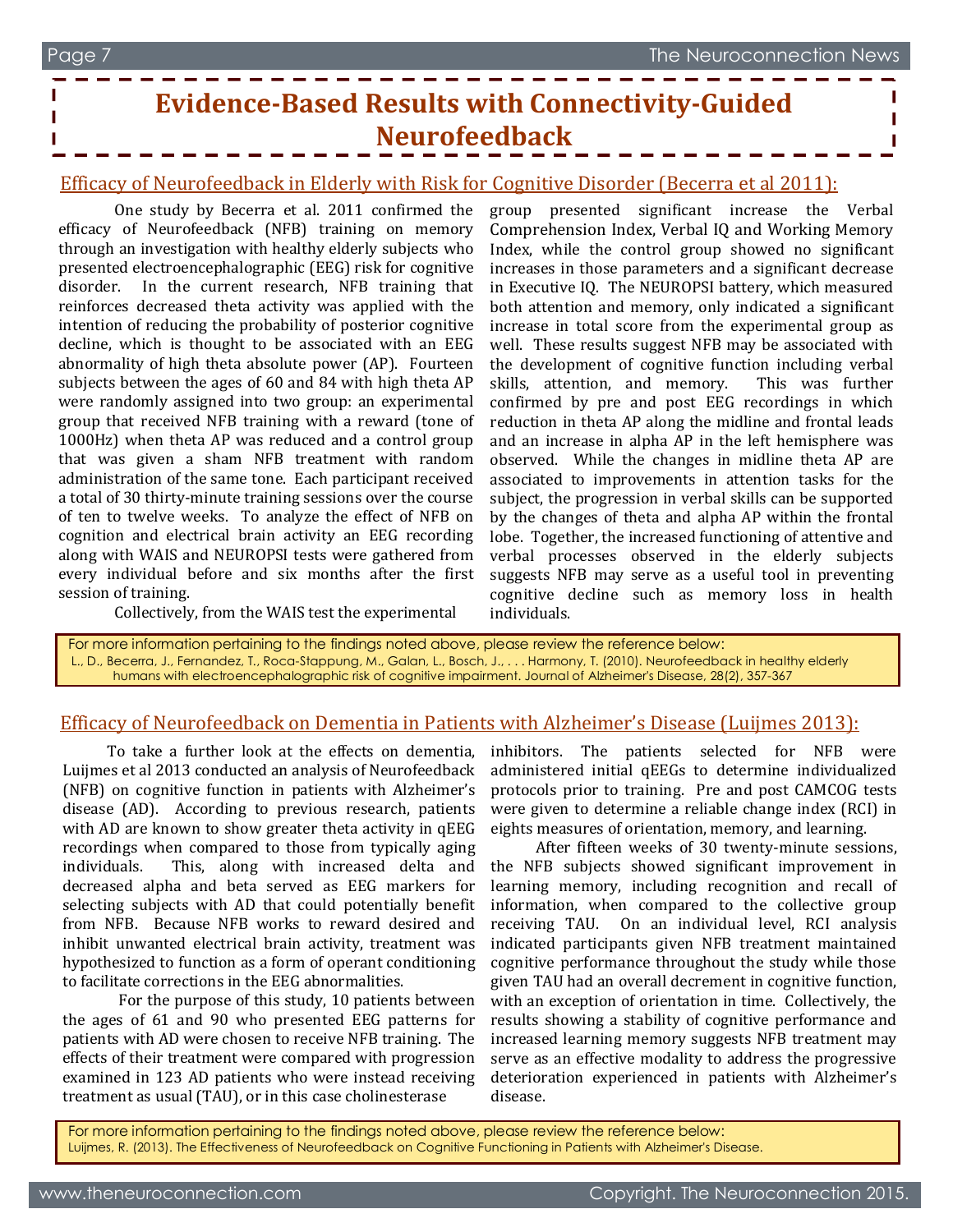## **Evidence-Based Results with Connectivity-Guided Neurofeedback**

#### Efficacy of Neurofeedback in Elderly with Risk for Cognitive Disorder (Becerra et al 2011):

One study by Becerra et al. 2011 confirmed the efficacy of Neurofeedback (NFB) training on memory through an investigation with healthy elderly subjects who presented electroencephalographic (EEG) risk for cognitive disorder. In the current research, NFB training that reinforces decreased theta activity was applied with the intention of reducing the probability of posterior cognitive decline, which is thought to be associated with an EEG abnormality of high theta absolute power (AP). Fourteen subjects between the ages of 60 and 84 with high theta AP were randomly assigned into two group: an experimental group that received NFB training with a reward (tone of 1000Hz) when theta AP was reduced and a control group that was given a sham NFB treatment with random administration of the same tone. Each participant received a total of 30 thirty-minute training sessions over the course of ten to twelve weeks. To analyze the effect of NFB on cognition and electrical brain activity an EEG recording along with WAIS and NEUROPSI tests were gathered from every individual before and six months after the first session of training.

Collectively, from the WAIS test the experimental

group presented significant increase the Verbal Comprehension Index, Verbal IQ and Working Memory Index, while the control group showed no significant increases in those parameters and a significant decrease in Executive IQ. The NEUROPSI battery, which measured both attention and memory, only indicated a significant increase in total score from the experimental group as well. These results suggest NFB may be associated with the development of cognitive function including verbal skills, attention, and memory. This was further confirmed by pre and post EEG recordings in which reduction in theta AP along the midline and frontal leads and an increase in alpha AP in the left hemisphere was observed. While the changes in midline theta AP are associated to improvements in attention tasks for the subject, the progression in verbal skills can be supported by the changes of theta and alpha AP within the frontal lobe. Together, the increased functioning of attentive and verbal processes observed in the elderly subjects suggests NFB may serve as a useful tool in preventing cognitive decline such as memory loss in health individuals.

For more information pertaining to the findings noted above, please review the reference below: L., D., Becerra, J., Fernandez, T., Roca-Stappung, M., Galan, L., Bosch, J., . . . Harmony, T. (2010). Neurofeedback in healthy elderly humans with electroencephalographic risk of cognitive impairment. Journal of Alzheimer's Disease, 28(2), 357-367

#### Efficacy of Neurofeedback on Dementia in Patients with Alzheimer's Disease (Luijmes 2013):

To take a further look at the effects on dementia, Luijmes et al 2013 conducted an analysis of Neurofeedback (NFB) on cognitive function in patients with Alzheimer's disease (AD). According to previous research, patients with AD are known to show greater theta activity in qEEG recordings when compared to those from typically aging individuals. This, along with increased delta and decreased alpha and beta served as EEG markers for selecting subjects with AD that could potentially benefit from NFB. Because NFB works to reward desired and inhibit unwanted electrical brain activity, treatment was hypothesized to function as a form of operant conditioning to facilitate corrections in the EEG abnormalities.

For the purpose of this study, 10 patients between the ages of 61 and 90 who presented EEG patterns for patients with AD were chosen to receive NFB training. The effects of their treatment were compared with progression examined in 123 AD patients who were instead receiving treatment as usual (TAU), or in this case cholinesterase

inhibitors. The patients selected for NFB were administered initial qEEGs to determine individualized protocols prior to training. Pre and post CAMCOG tests were given to determine a reliable change index (RCI) in eights measures of orientation, memory, and learning.

After fifteen weeks of 30 twenty-minute sessions, the NFB subjects showed significant improvement in learning memory, including recognition and recall of information, when compared to the collective group receiving TAU. On an individual level, RCI analysis indicated participants given NFB treatment maintained cognitive performance throughout the study while those given TAU had an overall decrement in cognitive function, with an exception of orientation in time. Collectively, the results showing a stability of cognitive performance and increased learning memory suggests NFB treatment may serve as an effective modality to address the progressive deterioration experienced in patients with Alzheimer's disease.

For more information pertaining to the findings noted above, please review the reference below: Luijmes, R. (2013). The Effectiveness of Neurofeedback on Cognitive Functioning in Patients with Alzheimer's Disease.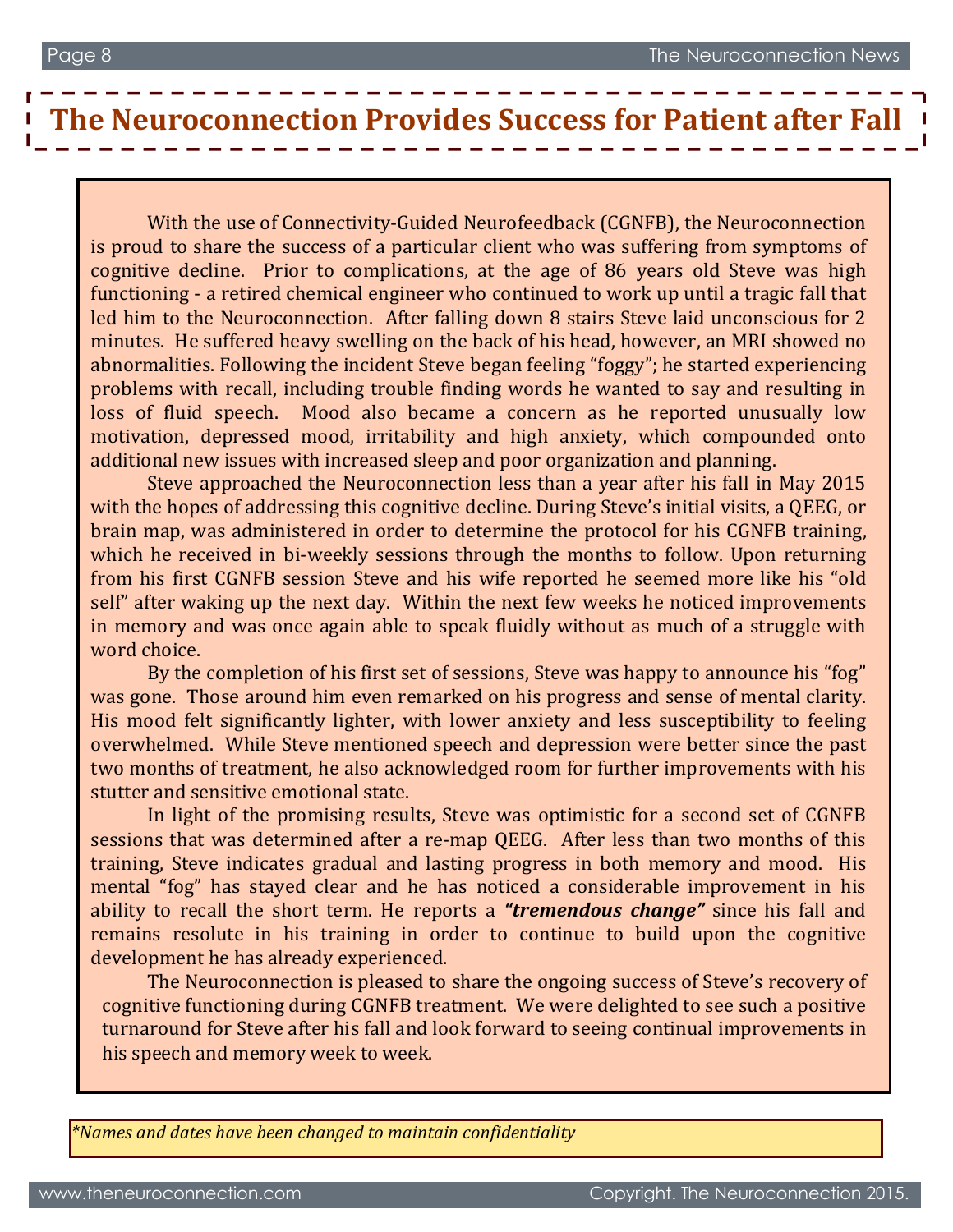# **The Neuroconnection Provides Success for Patient after Fall**

loss of fluid speech. Mood also became a concern as he reported unusually low motivation, depressed mood, irritability and high anxiety, which compounded onto With the use of Connectivity-Guided Neurofeedback (CGNFB), the Neuroconnection is proud to share the success of a particular client who was suffering from symptoms of cognitive decline. Prior to complications, at the age of 86 years old Steve was high functioning - a retired chemical engineer who continued to work up until a tragic fall that led him to the Neuroconnection. After falling down 8 stairs Steve laid unconscious for 2 minutes. He suffered heavy swelling on the back of his head, however, an MRI showed no abnormalities. Following the incident Steve began feeling "foggy"; he started experiencing problems with recall, including trouble finding words he wanted to say and resulting in additional new issues with increased sleep and poor organization and planning.

Steve approached the Neuroconnection less than a year after his fall in May 2015 with the hopes of addressing this cognitive decline. During Steve's initial visits, a QEEG, or brain map, was administered in order to determine the protocol for his CGNFB training, which he received in bi-weekly sessions through the months to follow. Upon returning from his first CGNFB session Steve and his wife reported he seemed more like his "old self" after waking up the next day. Within the next few weeks he noticed improvements in memory and was once again able to speak fluidly without as much of a struggle with word choice.

By the completion of his first set of sessions, Steve was happy to announce his "fog" was gone. Those around him even remarked on his progress and sense of mental clarity. His mood felt significantly lighter, with lower anxiety and less susceptibility to feeling overwhelmed. While Steve mentioned speech and depression were better since the past two months of treatment, he also acknowledged room for further improvements with his stutter and sensitive emotional state.

sessions that was determined after a re-map QEEG. After less than two months of this In light of the promising results, Steve was optimistic for a second set of CGNFB training, Steve indicates gradual and lasting progress in both memory and mood. His mental "fog" has stayed clear and he has noticed a considerable improvement in his ability to recall the short term. He reports a *"tremendous change"* since his fall and remains resolute in his training in order to continue to build upon the cognitive development he has already experienced.

The Neuroconnection is pleased to share the ongoing success of Steve's recovery of cognitive functioning during CGNFB treatment. We were delighted to see such a positive turnaround for Steve after his fall and look forward to seeing continual improvements in his speech and memory week to week.

*\*Names and dates have been changed to maintain confidentiality*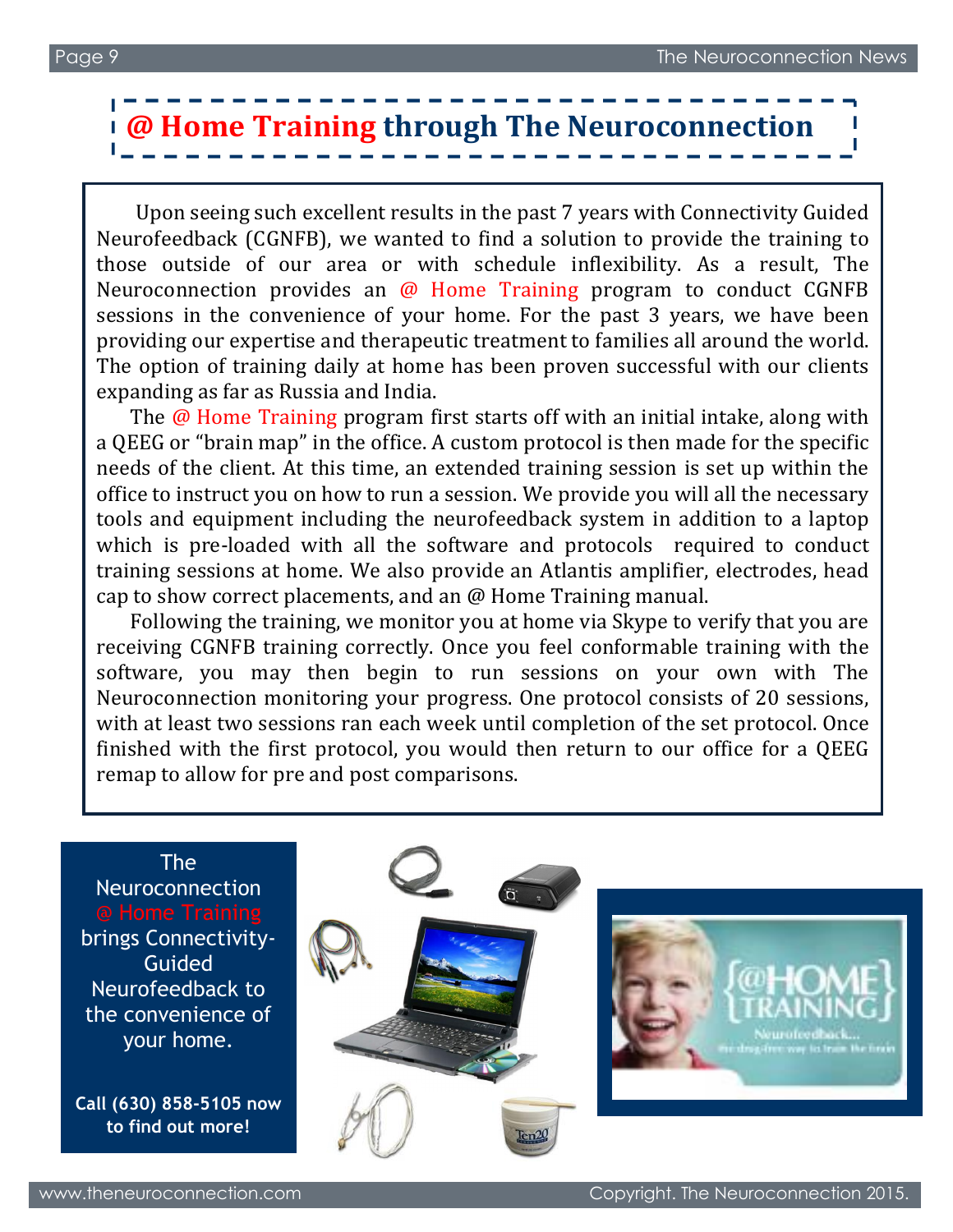# **@ Home Training through The Neuroconnection**

Upon seeing such excellent results in the past 7 years with Connectivity Guided Neurofeedback (CGNFB), we wanted to find a solution to provide the training to those outside of our area or with schedule inflexibility. As a result, The Neuroconnection provides an @ Home Training program to conduct CGNFB sessions in the convenience of your home. For the past 3 years, we have been providing our expertise and therapeutic treatment to families all around the world. The option of training daily at home has been proven successful with our clients expanding as far as Russia and India.

The @ Home Training program first starts off with an initial intake, along with a QEEG or "brain map" in the office. A custom protocol is then made for the specific needs of the client. At this time, an extended training session is set up within the office to instruct you on how to run a session. We provide you will all the necessary tools and equipment including the neurofeedback system in addition to a laptop which is pre-loaded with all the software and protocols required to conduct training sessions at home. We also provide an Atlantis amplifier, electrodes, head cap to show correct placements, and an @ Home Training manual.

Following the training, we monitor you at home via Skype to verify that you are receiving CGNFB training correctly. Once you feel conformable training with the software, you may then begin to run sessions on your own with The Neuroconnection monitoring your progress. One protocol consists of 20 sessions, with at least two sessions ran each week until completion of the set protocol. Once finished with the first protocol, you would then return to our office for a QEEG remap to allow for pre and post comparisons.